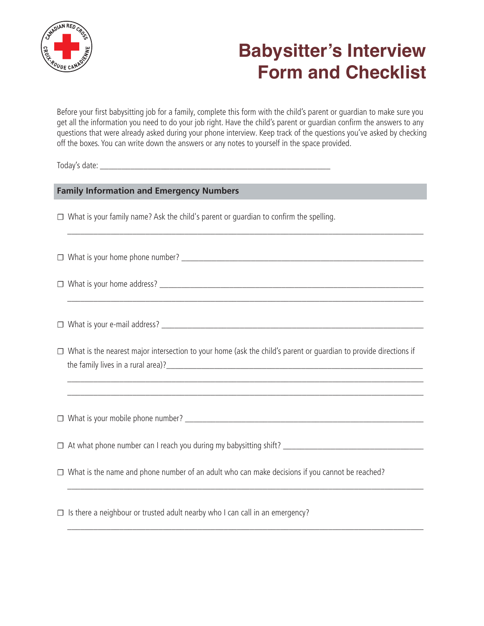

# **Babysitter's Interview Form and Checklist**

Before your first babysitting job for a family, complete this form with the child's parent or guardian to make sure you get all the information you need to do your job right. Have the child's parent or guardian confirm the answers to any questions that were already asked during your phone interview. Keep track of the questions you've asked by checking off the boxes. You can write down the answers or any notes to yourself in the space provided.

\_\_\_\_\_\_\_\_\_\_\_\_\_\_\_\_\_\_\_\_\_\_\_\_\_\_\_\_\_\_\_\_\_\_\_\_\_\_\_\_\_\_\_\_\_\_\_\_\_\_\_\_\_\_\_\_\_\_\_\_\_\_\_\_\_\_\_\_\_\_\_\_\_\_\_\_\_\_\_\_\_\_

\_\_\_\_\_\_\_\_\_\_\_\_\_\_\_\_\_\_\_\_\_\_\_\_\_\_\_\_\_\_\_\_\_\_\_\_\_\_\_\_\_\_\_\_\_\_\_\_\_\_\_\_\_\_\_\_\_\_\_\_\_\_\_\_\_\_\_\_\_\_\_\_\_\_\_\_\_\_\_\_\_\_

Today's date:  $\blacksquare$ 

## **Family Information and Emergency Numbers**

☐ What is your family name? Ask the child's parent or guardian to confirm the spelling.

|--|

 $\Box$  What is your home address?

 $\Box$  What is your e-mail address?

☐ What is the nearest major intersection to your home (ask the child's parent or guardian to provide directions if the family lives in a rural area)?

 \_\_\_\_\_\_\_\_\_\_\_\_\_\_\_\_\_\_\_\_\_\_\_\_\_\_\_\_\_\_\_\_\_\_\_\_\_\_\_\_\_\_\_\_\_\_\_\_\_\_\_\_\_\_\_\_\_\_\_\_\_\_\_\_\_\_\_\_\_\_\_\_\_\_\_\_\_\_\_\_\_\_ \_\_\_\_\_\_\_\_\_\_\_\_\_\_\_\_\_\_\_\_\_\_\_\_\_\_\_\_\_\_\_\_\_\_\_\_\_\_\_\_\_\_\_\_\_\_\_\_\_\_\_\_\_\_\_\_\_\_\_\_\_\_\_\_\_\_\_\_\_\_\_\_\_\_\_\_\_\_\_\_\_\_

 $\Box$  What is your mobile phone number?

☐ At what phone number can I reach you during my babysitting shift? \_\_\_\_\_\_\_\_\_\_\_\_\_\_\_\_\_\_\_\_\_\_\_\_\_\_\_\_\_\_\_\_\_

☐ What is the name and phone number of an adult who can make decisions if you cannot be reached?

\_\_\_\_\_\_\_\_\_\_\_\_\_\_\_\_\_\_\_\_\_\_\_\_\_\_\_\_\_\_\_\_\_\_\_\_\_\_\_\_\_\_\_\_\_\_\_\_\_\_\_\_\_\_\_\_\_\_\_\_\_\_\_\_\_\_\_\_\_\_\_\_\_\_\_\_\_\_\_\_\_\_

\_\_\_\_\_\_\_\_\_\_\_\_\_\_\_\_\_\_\_\_\_\_\_\_\_\_\_\_\_\_\_\_\_\_\_\_\_\_\_\_\_\_\_\_\_\_\_\_\_\_\_\_\_\_\_\_\_\_\_\_\_\_\_\_\_\_\_\_\_\_\_\_\_\_\_\_\_\_\_\_\_\_

 $\Box$  Is there a neighbour or trusted adult nearby who I can call in an emergency?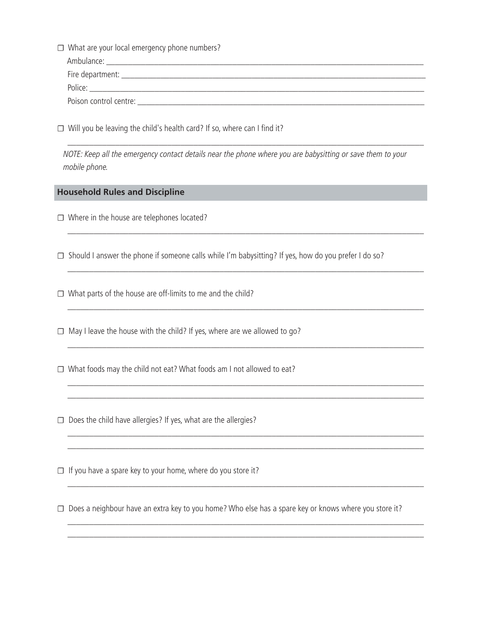- ☐ What are your local emergency phone numbers? Ambulance: \_\_\_\_\_\_\_\_\_\_\_\_\_\_\_\_\_\_\_\_\_\_\_\_\_\_\_\_\_\_\_\_\_\_\_\_\_\_\_\_\_\_\_\_\_\_\_\_\_\_\_\_\_\_\_\_\_\_\_\_\_\_\_\_\_\_\_\_\_\_\_\_\_ Fire department: \_\_\_\_\_\_\_\_\_\_\_\_\_\_\_\_\_\_\_\_\_\_\_\_\_\_\_\_\_\_\_\_\_\_\_\_\_\_\_\_\_\_\_\_\_\_\_\_\_\_\_\_\_\_\_\_\_\_\_\_\_\_\_\_\_\_\_\_\_\_ Police: Poison control centre: **with a set of the set of the set of the set of the set of the set of the set of the set of the set of the set of the set of the set of the set of the set of the set of the set of the set of the set**
- $\Box$  Will you be leaving the child's health card? If so, where can I find it?

 NOTE: Keep all the emergency contact details near the phone where you are babysitting or save them to your mobile phone.

\_\_\_\_\_\_\_\_\_\_\_\_\_\_\_\_\_\_\_\_\_\_\_\_\_\_\_\_\_\_\_\_\_\_\_\_\_\_\_\_\_\_\_\_\_\_\_\_\_\_\_\_\_\_\_\_\_\_\_\_\_\_\_\_\_\_\_\_\_\_\_\_\_\_\_\_\_\_\_\_\_\_

\_\_\_\_\_\_\_\_\_\_\_\_\_\_\_\_\_\_\_\_\_\_\_\_\_\_\_\_\_\_\_\_\_\_\_\_\_\_\_\_\_\_\_\_\_\_\_\_\_\_\_\_\_\_\_\_\_\_\_\_\_\_\_\_\_\_\_\_\_\_\_\_\_\_\_\_\_\_\_\_\_\_

\_\_\_\_\_\_\_\_\_\_\_\_\_\_\_\_\_\_\_\_\_\_\_\_\_\_\_\_\_\_\_\_\_\_\_\_\_\_\_\_\_\_\_\_\_\_\_\_\_\_\_\_\_\_\_\_\_\_\_\_\_\_\_\_\_\_\_\_\_\_\_\_\_\_\_\_\_\_\_\_\_\_

\_\_\_\_\_\_\_\_\_\_\_\_\_\_\_\_\_\_\_\_\_\_\_\_\_\_\_\_\_\_\_\_\_\_\_\_\_\_\_\_\_\_\_\_\_\_\_\_\_\_\_\_\_\_\_\_\_\_\_\_\_\_\_\_\_\_\_\_\_\_\_\_\_\_\_\_\_\_\_\_\_\_

\_\_\_\_\_\_\_\_\_\_\_\_\_\_\_\_\_\_\_\_\_\_\_\_\_\_\_\_\_\_\_\_\_\_\_\_\_\_\_\_\_\_\_\_\_\_\_\_\_\_\_\_\_\_\_\_\_\_\_\_\_\_\_\_\_\_\_\_\_\_\_\_\_\_\_\_\_\_\_\_\_\_

 \_\_\_\_\_\_\_\_\_\_\_\_\_\_\_\_\_\_\_\_\_\_\_\_\_\_\_\_\_\_\_\_\_\_\_\_\_\_\_\_\_\_\_\_\_\_\_\_\_\_\_\_\_\_\_\_\_\_\_\_\_\_\_\_\_\_\_\_\_\_\_\_\_\_\_\_\_\_\_\_\_\_ \_\_\_\_\_\_\_\_\_\_\_\_\_\_\_\_\_\_\_\_\_\_\_\_\_\_\_\_\_\_\_\_\_\_\_\_\_\_\_\_\_\_\_\_\_\_\_\_\_\_\_\_\_\_\_\_\_\_\_\_\_\_\_\_\_\_\_\_\_\_\_\_\_\_\_\_\_\_\_\_\_\_

 \_\_\_\_\_\_\_\_\_\_\_\_\_\_\_\_\_\_\_\_\_\_\_\_\_\_\_\_\_\_\_\_\_\_\_\_\_\_\_\_\_\_\_\_\_\_\_\_\_\_\_\_\_\_\_\_\_\_\_\_\_\_\_\_\_\_\_\_\_\_\_\_\_\_\_\_\_\_\_\_\_\_ \_\_\_\_\_\_\_\_\_\_\_\_\_\_\_\_\_\_\_\_\_\_\_\_\_\_\_\_\_\_\_\_\_\_\_\_\_\_\_\_\_\_\_\_\_\_\_\_\_\_\_\_\_\_\_\_\_\_\_\_\_\_\_\_\_\_\_\_\_\_\_\_\_\_\_\_\_\_\_\_\_\_

\_\_\_\_\_\_\_\_\_\_\_\_\_\_\_\_\_\_\_\_\_\_\_\_\_\_\_\_\_\_\_\_\_\_\_\_\_\_\_\_\_\_\_\_\_\_\_\_\_\_\_\_\_\_\_\_\_\_\_\_\_\_\_\_\_\_\_\_\_\_\_\_\_\_\_\_\_\_\_\_\_\_

 \_\_\_\_\_\_\_\_\_\_\_\_\_\_\_\_\_\_\_\_\_\_\_\_\_\_\_\_\_\_\_\_\_\_\_\_\_\_\_\_\_\_\_\_\_\_\_\_\_\_\_\_\_\_\_\_\_\_\_\_\_\_\_\_\_\_\_\_\_\_\_\_\_\_\_\_\_\_\_\_\_\_ \_\_\_\_\_\_\_\_\_\_\_\_\_\_\_\_\_\_\_\_\_\_\_\_\_\_\_\_\_\_\_\_\_\_\_\_\_\_\_\_\_\_\_\_\_\_\_\_\_\_\_\_\_\_\_\_\_\_\_\_\_\_\_\_\_\_\_\_\_\_\_\_\_\_\_\_\_\_\_\_\_\_

## **Household Rules and Discipline**

- ☐ Where in the house are telephones located?
- $\Box$  Should I answer the phone if someone calls while I'm babysitting? If yes, how do you prefer I do so?
- $\Box$  What parts of the house are off-limits to me and the child?
- $\Box$  May I leave the house with the child? If yes, where are we allowed to go?
- ☐ What foods may the child not eat? What foods am I not allowed to eat?
- $\Box$  Does the child have allergies? If yes, what are the allergies?
- $\Box$  If you have a spare key to your home, where do you store it?
- ☐ Does a neighbour have an extra key to you home? Who else has a spare key or knows where you store it?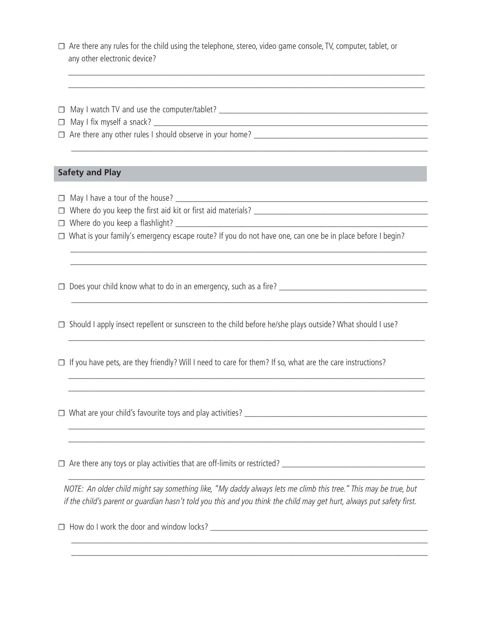☐ Are there any rules for the child using the telephone, stereo, video game console, TV, computer, tablet, or any other electronic device?

 \_\_\_\_\_\_\_\_\_\_\_\_\_\_\_\_\_\_\_\_\_\_\_\_\_\_\_\_\_\_\_\_\_\_\_\_\_\_\_\_\_\_\_\_\_\_\_\_\_\_\_\_\_\_\_\_\_\_\_\_\_\_\_\_\_\_\_\_\_\_\_\_\_\_\_\_\_\_\_\_\_\_ \_\_\_\_\_\_\_\_\_\_\_\_\_\_\_\_\_\_\_\_\_\_\_\_\_\_\_\_\_\_\_\_\_\_\_\_\_\_\_\_\_\_\_\_\_\_\_\_\_\_\_\_\_\_\_\_\_\_\_\_\_\_\_\_\_\_\_\_\_\_\_\_\_\_\_\_\_\_\_\_\_\_

\_\_\_\_\_\_\_\_\_\_\_\_\_\_\_\_\_\_\_\_\_\_\_\_\_\_\_\_\_\_\_\_\_\_\_\_\_\_\_\_\_\_\_\_\_\_\_\_\_\_\_\_\_\_\_\_\_\_\_\_\_\_\_\_\_\_\_\_\_\_\_\_\_\_\_\_\_\_\_\_\_\_

- $\Box$  May I watch TV and use the computer/tablet?
- $\Box$  May I fix myself a snack?  $\_\_\_\_\_\_\_\_\_\$

☐ Are there any other rules I should observe in your home? \_\_\_\_\_\_\_\_\_\_\_\_\_\_\_\_\_\_\_\_\_\_\_\_\_\_\_\_\_\_\_\_\_\_\_\_\_\_\_\_

#### **Safety and Play**

- ☐ May I have a tour of the house? \_\_\_\_\_\_\_\_\_\_\_\_\_\_\_\_\_\_\_\_\_\_\_\_\_\_\_\_\_\_\_\_\_\_\_\_\_\_\_\_\_\_\_\_\_\_\_\_\_\_\_\_\_\_\_\_\_\_
- ☐ Where do you keep the first aid kit or first aid materials? \_\_\_\_\_\_\_\_\_\_\_\_\_\_\_\_\_\_\_\_\_\_\_\_\_\_\_\_\_\_\_\_\_\_\_\_\_\_\_\_
- ☐ Where do you keep a flashlight? \_\_\_\_\_\_\_\_\_\_\_\_\_\_\_\_\_\_\_\_\_\_\_\_\_\_\_\_\_\_\_\_\_\_\_\_\_\_\_\_\_\_\_\_\_\_\_\_\_\_\_\_\_\_\_\_\_\_
- ☐ What is your family's emergency escape route? If you do not have one, can one be in place before I begin?

 \_\_\_\_\_\_\_\_\_\_\_\_\_\_\_\_\_\_\_\_\_\_\_\_\_\_\_\_\_\_\_\_\_\_\_\_\_\_\_\_\_\_\_\_\_\_\_\_\_\_\_\_\_\_\_\_\_\_\_\_\_\_\_\_\_\_\_\_\_\_\_\_\_\_\_\_\_\_\_\_\_\_ \_\_\_\_\_\_\_\_\_\_\_\_\_\_\_\_\_\_\_\_\_\_\_\_\_\_\_\_\_\_\_\_\_\_\_\_\_\_\_\_\_\_\_\_\_\_\_\_\_\_\_\_\_\_\_\_\_\_\_\_\_\_\_\_\_\_\_\_\_\_\_\_\_\_\_\_\_\_\_\_\_\_

\_\_\_\_\_\_\_\_\_\_\_\_\_\_\_\_\_\_\_\_\_\_\_\_\_\_\_\_\_\_\_\_\_\_\_\_\_\_\_\_\_\_\_\_\_\_\_\_\_\_\_\_\_\_\_\_\_\_\_\_\_\_\_\_\_\_\_\_\_\_\_\_\_\_\_\_\_\_\_\_\_\_

\_\_\_\_\_\_\_\_\_\_\_\_\_\_\_\_\_\_\_\_\_\_\_\_\_\_\_\_\_\_\_\_\_\_\_\_\_\_\_\_\_\_\_\_\_\_\_\_\_\_\_\_\_\_\_\_\_\_\_\_\_\_\_\_\_\_\_\_\_\_\_\_\_\_\_\_\_\_\_\_\_\_

 \_\_\_\_\_\_\_\_\_\_\_\_\_\_\_\_\_\_\_\_\_\_\_\_\_\_\_\_\_\_\_\_\_\_\_\_\_\_\_\_\_\_\_\_\_\_\_\_\_\_\_\_\_\_\_\_\_\_\_\_\_\_\_\_\_\_\_\_\_\_\_\_\_\_\_\_\_\_\_\_\_\_ \_\_\_\_\_\_\_\_\_\_\_\_\_\_\_\_\_\_\_\_\_\_\_\_\_\_\_\_\_\_\_\_\_\_\_\_\_\_\_\_\_\_\_\_\_\_\_\_\_\_\_\_\_\_\_\_\_\_\_\_\_\_\_\_\_\_\_\_\_\_\_\_\_\_\_\_\_\_\_\_\_\_

 \_\_\_\_\_\_\_\_\_\_\_\_\_\_\_\_\_\_\_\_\_\_\_\_\_\_\_\_\_\_\_\_\_\_\_\_\_\_\_\_\_\_\_\_\_\_\_\_\_\_\_\_\_\_\_\_\_\_\_\_\_\_\_\_\_\_\_\_\_\_\_\_\_\_\_\_\_\_\_\_\_\_ \_\_\_\_\_\_\_\_\_\_\_\_\_\_\_\_\_\_\_\_\_\_\_\_\_\_\_\_\_\_\_\_\_\_\_\_\_\_\_\_\_\_\_\_\_\_\_\_\_\_\_\_\_\_\_\_\_\_\_\_\_\_\_\_\_\_\_\_\_\_\_\_\_\_\_\_\_\_\_\_\_\_

☐ Does your child know what to do in an emergency, such as a fire? \_\_\_\_\_\_\_\_\_\_\_\_\_\_\_\_\_\_\_\_\_\_\_\_\_\_\_\_\_\_\_\_\_\_

 $\Box$  Should I apply insect repellent or sunscreen to the child before he/she plays outside? What should I use?

☐ If you have pets, are they friendly? Will I need to care for them? If so, what are the care instructions?

 $\Box$  What are your child's favourite toys and play activities?  $\Box$ 

☐ Are there any toys or play activities that are off-limits or restricted? \_\_\_\_\_\_\_\_\_\_\_\_\_\_\_\_\_\_\_\_\_\_\_\_\_\_\_\_\_\_\_\_\_

 NOTE: An older child might say something like, "My daddy always lets me climb this tree." This may be true, but if the child's parent or guardian hasn't told you this and you think the child may get hurt, always put safety first.

 \_\_\_\_\_\_\_\_\_\_\_\_\_\_\_\_\_\_\_\_\_\_\_\_\_\_\_\_\_\_\_\_\_\_\_\_\_\_\_\_\_\_\_\_\_\_\_\_\_\_\_\_\_\_\_\_\_\_\_\_\_\_\_\_\_\_\_\_\_\_\_\_\_\_\_\_\_\_\_\_\_\_ \_\_\_\_\_\_\_\_\_\_\_\_\_\_\_\_\_\_\_\_\_\_\_\_\_\_\_\_\_\_\_\_\_\_\_\_\_\_\_\_\_\_\_\_\_\_\_\_\_\_\_\_\_\_\_\_\_\_\_\_\_\_\_\_\_\_\_\_\_\_\_\_\_\_\_\_\_\_\_\_\_\_

\_\_\_\_\_\_\_\_\_\_\_\_\_\_\_\_\_\_\_\_\_\_\_\_\_\_\_\_\_\_\_\_\_\_\_\_\_\_\_\_\_\_\_\_\_\_\_\_\_\_\_\_\_\_\_\_\_\_\_\_\_\_\_\_\_\_\_\_\_\_\_\_\_\_\_\_\_\_\_\_\_\_

 $\Box$  How do I work the door and window locks?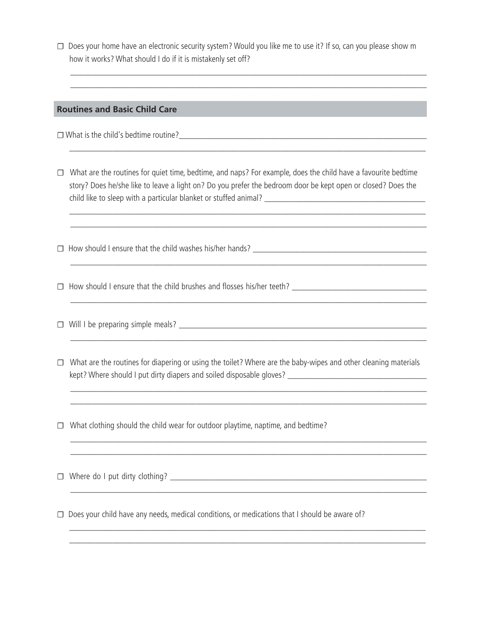□ Does your home have an electronic security system? Would you like me to use it? If so, can you please show m how it works? What should I do if it is mistakenly set off?

 \_\_\_\_\_\_\_\_\_\_\_\_\_\_\_\_\_\_\_\_\_\_\_\_\_\_\_\_\_\_\_\_\_\_\_\_\_\_\_\_\_\_\_\_\_\_\_\_\_\_\_\_\_\_\_\_\_\_\_\_\_\_\_\_\_\_\_\_\_\_\_\_\_\_\_\_\_\_\_\_\_\_ \_\_\_\_\_\_\_\_\_\_\_\_\_\_\_\_\_\_\_\_\_\_\_\_\_\_\_\_\_\_\_\_\_\_\_\_\_\_\_\_\_\_\_\_\_\_\_\_\_\_\_\_\_\_\_\_\_\_\_\_\_\_\_\_\_\_\_\_\_\_\_\_\_\_\_\_\_\_\_\_\_\_

### **Routines and Basic Child Care**

 $\Box$  What is the child's bedtime routine?

☐ What are the routines for quiet time, bedtime, and naps? For example, does the child have a favourite bedtime story? Does he/she like to leave a light on? Do you prefer the bedroom door be kept open or closed? Does the child like to sleep with a particular blanket or stuffed animal? \_\_\_\_\_\_\_\_\_\_\_\_\_\_\_\_\_\_\_\_\_\_\_\_\_\_\_\_\_\_\_\_\_\_\_\_\_

 \_\_\_\_\_\_\_\_\_\_\_\_\_\_\_\_\_\_\_\_\_\_\_\_\_\_\_\_\_\_\_\_\_\_\_\_\_\_\_\_\_\_\_\_\_\_\_\_\_\_\_\_\_\_\_\_\_\_\_\_\_\_\_\_\_\_\_\_\_\_\_\_\_\_\_\_\_\_\_\_\_\_ \_\_\_\_\_\_\_\_\_\_\_\_\_\_\_\_\_\_\_\_\_\_\_\_\_\_\_\_\_\_\_\_\_\_\_\_\_\_\_\_\_\_\_\_\_\_\_\_\_\_\_\_\_\_\_\_\_\_\_\_\_\_\_\_\_\_\_\_\_\_\_\_\_\_\_\_\_\_\_\_\_\_

\_\_\_\_\_\_\_\_\_\_\_\_\_\_\_\_\_\_\_\_\_\_\_\_\_\_\_\_\_\_\_\_\_\_\_\_\_\_\_\_\_\_\_\_\_\_\_\_\_\_\_\_\_\_\_\_\_\_\_\_\_\_\_\_\_\_\_\_\_\_\_\_\_\_\_\_\_\_\_\_\_\_

\_\_\_\_\_\_\_\_\_\_\_\_\_\_\_\_\_\_\_\_\_\_\_\_\_\_\_\_\_\_\_\_\_\_\_\_\_\_\_\_\_\_\_\_\_\_\_\_\_\_\_\_\_\_\_\_\_\_\_\_\_\_\_\_\_\_\_\_\_\_\_\_\_\_\_\_\_\_\_\_\_\_

\_\_\_\_\_\_\_\_\_\_\_\_\_\_\_\_\_\_\_\_\_\_\_\_\_\_\_\_\_\_\_\_\_\_\_\_\_\_\_\_\_\_\_\_\_\_\_\_\_\_\_\_\_\_\_\_\_\_\_\_\_\_\_\_\_\_\_\_\_\_\_\_\_\_\_\_\_\_\_\_\_\_

\_\_\_\_\_\_\_\_\_\_\_\_\_\_\_\_\_\_\_\_\_\_\_\_\_\_\_\_\_\_\_\_\_\_\_\_\_\_\_\_\_\_\_\_\_\_\_\_\_\_\_\_\_\_\_\_\_\_\_\_\_\_\_\_\_\_\_\_\_\_\_\_\_\_\_\_\_\_\_\_\_\_

 $\Box$  How should I ensure that the child washes his/her hands?

☐ How should I ensure that the child brushes and flosses his/her teeth? \_\_\_\_\_\_\_\_\_\_\_\_\_\_\_\_\_\_\_\_\_\_\_\_\_\_\_\_\_\_\_

 $\Box$  Will I be preparing simple meals?

☐ What are the routines for diapering or using the toilet? Where are the baby-wipes and other cleaning materials kept? Where should I put dirty diapers and soiled disposable gloves? \_\_\_\_\_\_\_\_\_\_\_\_\_\_\_\_\_\_\_\_\_\_\_\_\_\_\_\_\_\_\_\_

\_\_\_\_\_\_\_\_\_\_\_\_\_\_\_\_\_\_\_\_\_\_\_\_\_\_\_\_\_\_\_\_\_\_\_\_\_\_\_\_\_\_\_\_\_\_\_\_\_\_\_\_\_\_\_\_\_\_\_\_\_\_\_\_\_\_\_\_\_\_\_\_\_\_\_\_\_\_\_\_\_\_

 \_\_\_\_\_\_\_\_\_\_\_\_\_\_\_\_\_\_\_\_\_\_\_\_\_\_\_\_\_\_\_\_\_\_\_\_\_\_\_\_\_\_\_\_\_\_\_\_\_\_\_\_\_\_\_\_\_\_\_\_\_\_\_\_\_\_\_\_\_\_\_\_\_\_\_\_\_\_\_\_\_\_ \_\_\_\_\_\_\_\_\_\_\_\_\_\_\_\_\_\_\_\_\_\_\_\_\_\_\_\_\_\_\_\_\_\_\_\_\_\_\_\_\_\_\_\_\_\_\_\_\_\_\_\_\_\_\_\_\_\_\_\_\_\_\_\_\_\_\_\_\_\_\_\_\_\_\_\_\_\_\_\_\_\_

\_\_\_\_\_\_\_\_\_\_\_\_\_\_\_\_\_\_\_\_\_\_\_\_\_\_\_\_\_\_\_\_\_\_\_\_\_\_\_\_\_\_\_\_\_\_\_\_\_\_\_\_\_\_\_\_\_\_\_\_\_\_\_\_\_\_\_\_\_\_\_\_\_\_\_\_\_\_\_\_\_\_

 \_\_\_\_\_\_\_\_\_\_\_\_\_\_\_\_\_\_\_\_\_\_\_\_\_\_\_\_\_\_\_\_\_\_\_\_\_\_\_\_\_\_\_\_\_\_\_\_\_\_\_\_\_\_\_\_\_\_\_\_\_\_\_\_\_\_\_\_\_\_\_\_\_\_\_\_\_\_\_\_\_\_ \_\_\_\_\_\_\_\_\_\_\_\_\_\_\_\_\_\_\_\_\_\_\_\_\_\_\_\_\_\_\_\_\_\_\_\_\_\_\_\_\_\_\_\_\_\_\_\_\_\_\_\_\_\_\_\_\_\_\_\_\_\_\_\_\_\_\_\_\_\_\_\_\_\_\_\_\_\_\_\_\_\_

☐ What clothing should the child wear for outdoor playtime, naptime, and bedtime?

\_\_\_\_\_\_\_\_\_\_\_\_\_\_\_\_\_\_\_\_\_\_\_\_\_\_\_\_\_\_\_\_\_\_\_\_\_\_\_\_\_\_\_\_\_\_\_\_\_\_\_\_\_\_\_\_\_\_\_\_\_\_\_\_\_\_\_\_\_\_\_\_\_\_\_\_\_\_\_\_\_\_

 $\Box$  Where do I put dirty clothing?  $\Box$ 

 $\Box$  Does your child have any needs, medical conditions, or medications that I should be aware of?